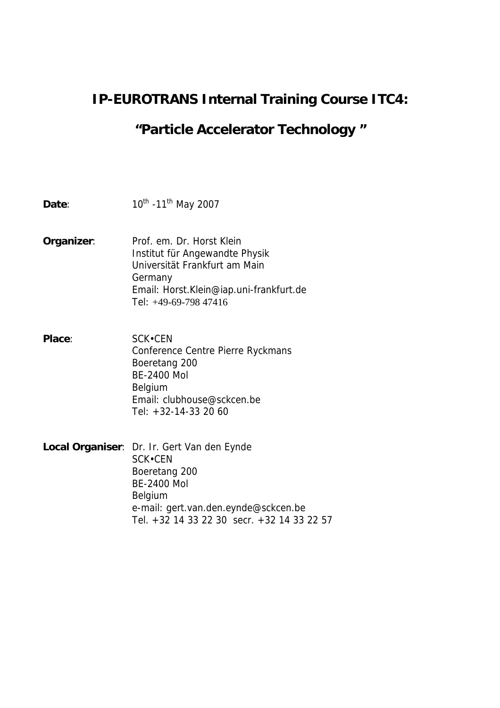## **IP-EUROTRANS Internal Training Course ITC4:**

# **"Particle Accelerator Technology "**

| Date:         | 10 <sup>th</sup> -11 <sup>th</sup> May 2007                                                                                                                                                           |
|---------------|-------------------------------------------------------------------------------------------------------------------------------------------------------------------------------------------------------|
| Organizer:    | Prof. em. Dr. Horst Klein<br>Institut für Angewandte Physik<br>Universität Frankfurt am Main<br>Germany<br>Email: Horst.Klein@iap.uni-frankfurt.de<br>Tel: +49-69-798 47416                           |
| <b>Place:</b> | SCK.CEN<br>Conference Centre Pierre Ryckmans<br>Boeretang 200<br><b>BE-2400 Mol</b><br>Belgium<br>Email: clubhouse@sckcen.be<br>Tel: $+32-14-33$ 20 60                                                |
|               | <b>Local Organiser:</b> Dr. Ir. Gert Van den Eynde<br>SCK.CEN<br>Boeretang 200<br><b>BE-2400 Mol</b><br>Belgium<br>e-mail: gert.van.den.eynde@sckcen.be<br>Tel. +32 14 33 22 30 secr. +32 14 33 22 57 |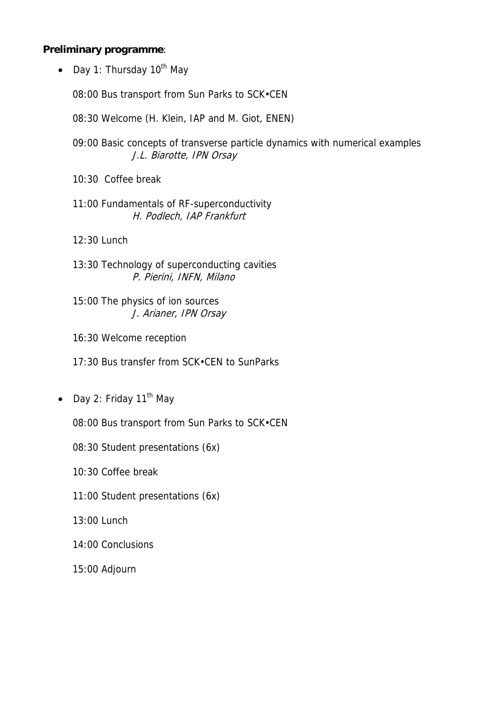#### **Preliminary programme**:

• Day 1: Thursday 10<sup>th</sup> May

08:00 Bus transport from Sun Parks to SCK•CEN

- 08:30 Welcome (H. Klein, IAP and M. Giot, ENEN)
- 09:00 Basic concepts of transverse particle dynamics with numerical examples J.L. Biarotte, IPN Orsay
- 10:30 Coffee break
- 11:00 Fundamentals of RF-superconductivity H. Podlech, IAP Frankfurt
- 12:30 Lunch
- 13:30 Technology of superconducting cavities P. Pierini, INFN, Milano
- 15:00 The physics of ion sources J. Arianer, IPN Orsay
- 16:30 Welcome reception
- 17:30 Bus transfer from SCK•CEN to SunParks
- Day 2: Friday  $11<sup>th</sup>$  May
	- 08:00 Bus transport from Sun Parks to SCK•CEN
	- 08:30 Student presentations (6x)
	- 10:30 Coffee break
	- 11:00 Student presentations (6x)
	- 13:00 Lunch
	- 14:00 Conclusions
	- 15:00 Adjourn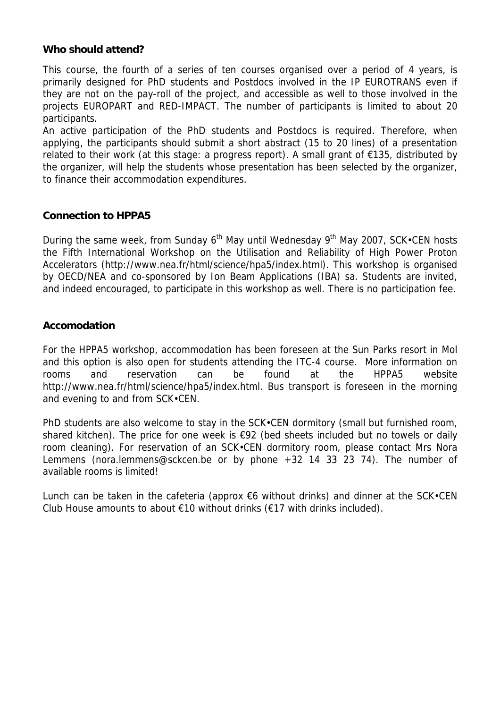#### **Who should attend?**

This course, the fourth of a series of ten courses organised over a period of 4 years, is primarily designed for PhD students and Postdocs involved in the IP EUROTRANS even if they are not on the pay-roll of the project, and accessible as well to those involved in the projects EUROPART and RED-IMPACT. The number of participants is limited to about 20 participants.

An active participation of the PhD students and Postdocs is required. Therefore, when applying, the participants should submit a short abstract (15 to 20 lines) of a presentation related to their work (at this stage: a progress report). A small grant of €135, distributed by the organizer, will help the students whose presentation has been selected by the organizer, to finance their accommodation expenditures.

#### **Connection to HPPA5**

During the same week, from Sunday 6<sup>th</sup> May until Wednesday 9<sup>th</sup> May 2007, SCK•CEN hosts the Fifth International Workshop on the Utilisation and Reliability of High Power Proton Accelerators (http://www.nea.fr/html/science/hpa5/index.html). This workshop is organised by OECD/NEA and co-sponsored by Ion Beam Applications (IBA) sa. Students are invited, and indeed encouraged, to participate in this workshop as well. There is no participation fee.

#### **Accomodation**

For the HPPA5 workshop, accommodation has been foreseen at the Sun Parks resort in Mol and this option is also open for students attending the ITC-4 course. More information on rooms and reservation can be found at the HPPA5 website http://www.nea.fr/html/science/hpa5/index.html. Bus transport is foreseen in the morning and evening to and from SCK•CEN.

PhD students are also welcome to stay in the SCK.CEN dormitory (small but furnished room, shared kitchen). The price for one week is €92 (bed sheets included but no towels or daily room cleaning). For reservation of an SCK•CEN dormitory room, please contact Mrs Nora Lemmens (nora.lemmens@sckcen.be or by phone +32 14 33 23 74). The number of available rooms is limited!

Lunch can be taken in the cafeteria (approx  $€6$  without drinks) and dinner at the SCK•CEN Club House amounts to about  $\epsilon$ 10 without drinks ( $\epsilon$ 17 with drinks included).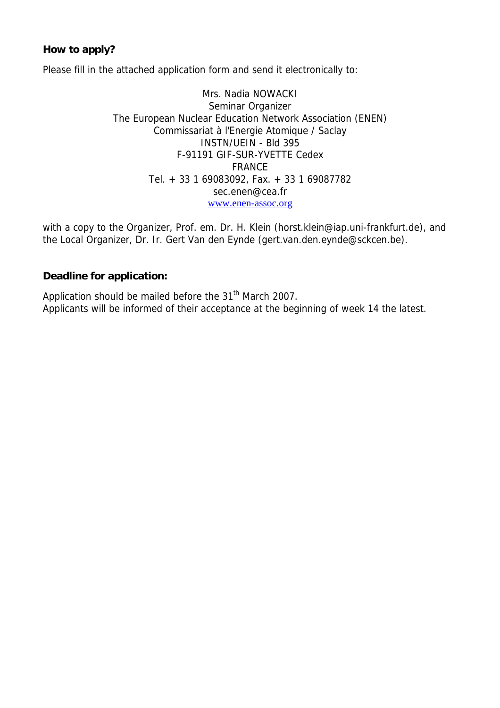#### **How to apply?**

Please fill in the attached application form and send it electronically to:

Mrs. Nadia NOWACKI Seminar Organizer The European Nuclear Education Network Association (ENEN) Commissariat à l'Energie Atomique / Saclay INSTN/UEIN - Bld 395 F-91191 GIF-SUR-YVETTE Cedex FRANCE Tel. + 33 1 69083092, Fax. + 33 1 69087782 sec.enen@cea.fr www.enen-assoc.org

with a copy to the Organizer, Prof. em. Dr. H. Klein (horst.klein@iap.uni-frankfurt.de), and the Local Organizer, Dr. Ir. Gert Van den Eynde (gert.van.den.eynde@sckcen.be).

#### **Deadline for application:**

Application should be mailed before the 31<sup>th</sup> March 2007. Applicants will be informed of their acceptance at the beginning of week 14 the latest.